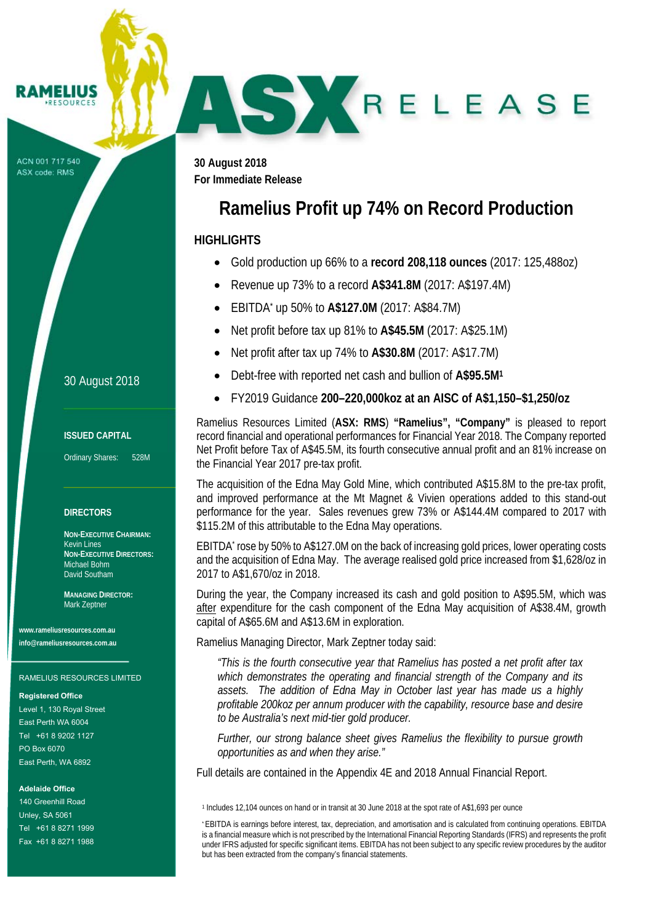#### **IMELIUS** ESOURCE

ACN 001 717 540 ASX code: RMS

**30 August 2018 For Immediate Release** 

# **Ramelius Profit up 74% on Record Production**

SKRELEASE

## **HIGHLIGHTS**

J

- Gold production up 66% to a **record 208,118 ounces** (2017: 125,488oz)
- Revenue up 73% to a record **A\$341.8M** (2017: A\$197.4M)
- EBITDA\* up 50% to **A\$127.0M** (2017: A\$84.7M)
- Net profit before tax up 81% to **A\$45.5M** (2017: A\$25.1M)
- Net profit after tax up 74% to **A\$30.8M** (2017: A\$17.7M)
- Debt-free with reported net cash and bullion of **A\$95.5M1**
- FY2019 Guidance **200–220,000koz at an AISC of A\$1,150–\$1,250/oz**

Ramelius Resources Limited (**ASX: RMS**) **"Ramelius", "Company"** is pleased to report record financial and operational performances for Financial Year 2018. The Company reported Net Profit before Tax of A\$45.5M, its fourth consecutive annual profit and an 81% increase on the Financial Year 2017 pre-tax profit.

The acquisition of the Edna May Gold Mine, which contributed A\$15.8M to the pre-tax profit, and improved performance at the Mt Magnet & Vivien operations added to this stand-out performance for the year. Sales revenues grew 73% or A\$144.4M compared to 2017 with \$115.2M of this attributable to the Edna May operations.

EBITDA\* rose by 50% to A\$127.0M on the back of increasing gold prices, lower operating costs and the acquisition of Edna May. The average realised gold price increased from \$1,628/oz in 2017 to A\$1,670/oz in 2018.

During the year, the Company increased its cash and gold position to A\$95.5M, which was after expenditure for the cash component of the Edna May acquisition of A\$38.4M, growth capital of A\$65.6M and A\$13.6M in exploration.

Ramelius Managing Director, Mark Zeptner today said:

*"This is the fourth consecutive year that Ramelius has posted a net profit after tax which demonstrates the operating and financial strength of the Company and its assets. The addition of Edna May in October last year has made us a highly profitable 200koz per annum producer with the capability, resource base and desire to be Australia's next mid-tier gold producer.* 

*Further, our strong balance sheet gives Ramelius the flexibility to pursue growth opportunities as and when they arise."* 

Full details are contained in the Appendix 4E and 2018 Annual Financial Report.

## 30 August 2018

### **ISSUED CAPITAL**

Ordinary Shares: 528M

## **DIRECTORS**

**NON-EXECUTIVE CHAIRMAN:**  Kevin Lines **NON-EXECUTIVE DIRECTORS:**  Michael Bohm David Southam

**MANAGING DIRECTOR:**  Mark Zeptner

**www.rameliusresources.com.au info@rameliusresources.com.au** 

#### RAMELIUS RESOURCES LIMITED

#### **Registered Office**

Level 1, 130 Royal Street East Perth WA 6004 Tel +61 8 9202 1127 PO Box 6070 East Perth, WA 6892

## **Adelaide Office**

140 Greenhill Road Unley, SA 5061 Tel +61 8 8271 1999 Fax +61 8 8271 1988

<sup>1</sup> Includes 12,104 ounces on hand or in transit at 30 June 2018 at the spot rate of A\$1,693 per ounce

<sup>\*</sup> EBITDA is earnings before interest, tax, depreciation, and amortisation and is calculated from continuing operations. EBITDA is a financial measure which is not prescribed by the International Financial Reporting Standards (IFRS) and represents the profit under IFRS adjusted for specific significant items. EBITDA has not been subject to any specific review procedures by the auditor but has been extracted from the company's financial statements.